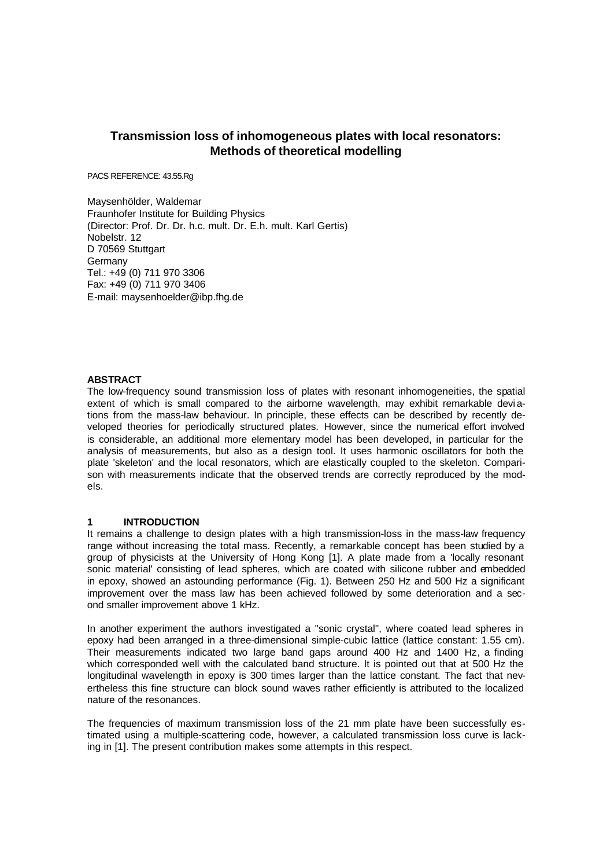# **Transmission loss of inhomogeneous plates with local resonators: Methods of theoretical modelling**

PACS REFERENCE: 43.55.Rg

Maysenhölder, Waldemar Fraunhofer Institute for Building Physics (Director: Prof. Dr. Dr. h.c. mult. Dr. E.h. mult. Karl Gertis) Nobelstr. 12 D 70569 Stuttgart **Germany** Tel.: +49 (0) 711 970 3306 Fax: +49 (0) 711 970 3406 E-mail: maysenhoelder@ibp.fhg.de

# **ABSTRACT**

The low-frequency sound transmission loss of plates with resonant inhomogeneities, the spatial extent of which is small compared to the airborne wavelength, may exhibit remarkable deviations from the mass-law behaviour. In principle, these effects can be described by recently developed theories for periodically structured plates. However, since the numerical effort involved is considerable, an additional more elementary model has been developed, in particular for the analysis of measurements, but also as a design tool. It uses harmonic oscillators for both the plate 'skeleton' and the local resonators, which are elastically coupled to the skeleton. Comparison with measurements indicate that the observed trends are correctly reproduced by the models.

#### **1 INTRODUCTION**

It remains a challenge to design plates with a high transmission-loss in the mass-law frequency range without increasing the total mass. Recently, a remarkable concept has been studied by a group of physicists at the University of Hong Kong [1]. A plate made from a 'locally resonant sonic material' consisting of lead spheres, which are coated with silicone rubber and embedded in epoxy, showed an astounding performance (Fig. 1). Between 250 Hz and 500 Hz a significant improvement over the mass law has been achieved followed by some deterioration and a second smaller improvement above 1 kHz.

In another experiment the authors investigated a "sonic crystal", where coated lead spheres in epoxy had been arranged in a three-dimensional simple-cubic lattice (lattice constant: 1.55 cm). Their measurements indicated two large band gaps around 400 Hz and 1400 Hz, a finding which corresponded well with the calculated band structure. It is pointed out that at 500 Hz the longitudinal wavelength in epoxy is 300 times larger than the lattice constant. The fact that nevertheless this fine structure can block sound waves rather efficiently is attributed to the localized nature of the resonances.

The frequencies of maximum transmission loss of the 21 mm plate have been successfully estimated using a multiple-scattering code, however, a calculated transmission loss curve is lacking in [1]. The present contribution makes some attempts in this respect.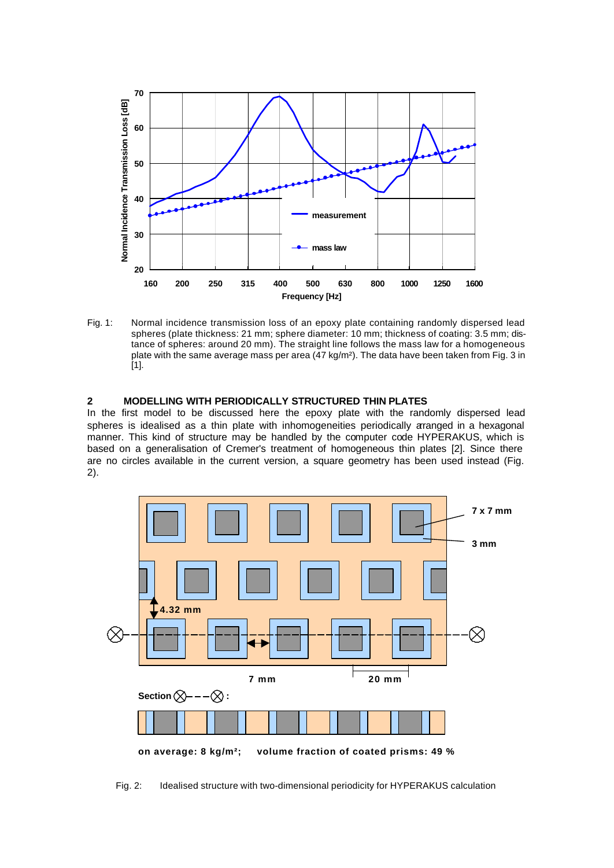

Fig. 1: Normal incidence transmission loss of an epoxy plate containing randomly dispersed lead spheres (plate thickness: 21 mm; sphere diameter: 10 mm; thickness of coating: 3.5 mm; distance of spheres: around 20 mm). The straight line follows the mass law for a homogeneous plate with the same average mass per area (47 kg/m<sup>2</sup>). The data have been taken from Fig. 3 in [1].

#### **2 MODELLING WITH PERIODICALLY STRUCTURED THIN PLATES**

In the first model to be discussed here the epoxy plate with the randomly dispersed lead spheres is idealised as a thin plate with inhomogeneities periodically arranged in a hexagonal manner. This kind of structure may be handled by the computer code HYPERAKUS, which is based on a generalisation of Cremer's treatment of homogeneous thin plates [2]. Since there are no circles available in the current version, a square geometry has been used instead (Fig. 2).



Fig. 2: Idealised structure with two-dimensional periodicity for HYPERAKUS calculation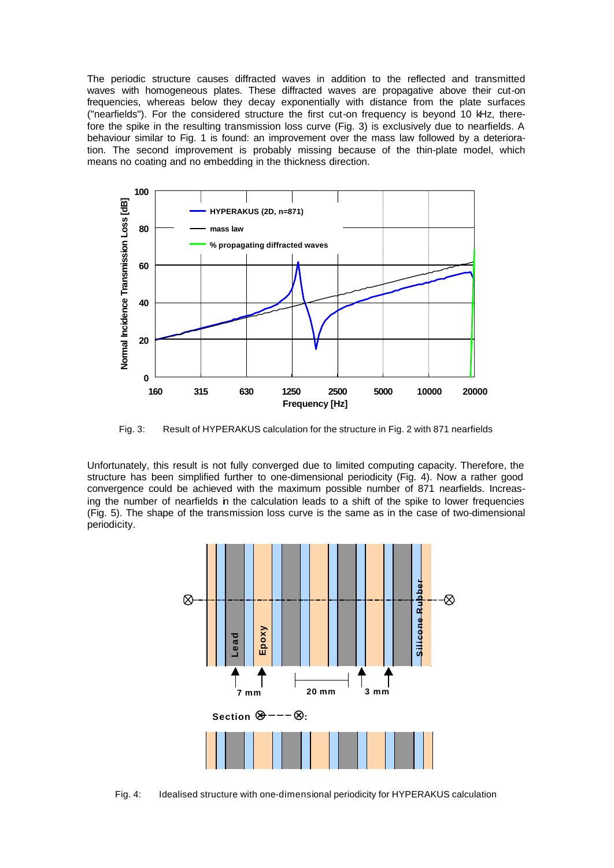The periodic structure causes diffracted waves in addition to the reflected and transmitted waves with homogeneous plates. These diffracted waves are propagative above their cut-on frequencies, whereas below they decay exponentially with distance from the plate surfaces ("nearfields"). For the considered structure the first cut-on frequency is beyond 10 kHz, therefore the spike in the resulting transmission loss curve (Fig. 3) is exclusively due to nearfields. A behaviour similar to Fig. 1 is found: an improvement over the mass law followed by a deterioration. The second improvement is probably missing because of the thin-plate model, which means no coating and no embedding in the thickness direction.



Fig. 3: Result of HYPERAKUS calculation for the structure in Fig. 2 with 871 nearfields

Unfortunately, this result is not fully converged due to limited computing capacity. Therefore, the structure has been simplified further to one-dimensional periodicity (Fig. 4). Now a rather good convergence could be achieved with the maximum possible number of 871 nearfields. Increasing the number of nearfields in the calculation leads to a shift of the spike to lower frequencies (Fig. 5). The shape of the transmission loss curve is the same as in the case of two-dimensional periodicity.



Fig. 4: Idealised structure with one-dimensional periodicity for HYPERAKUS calculation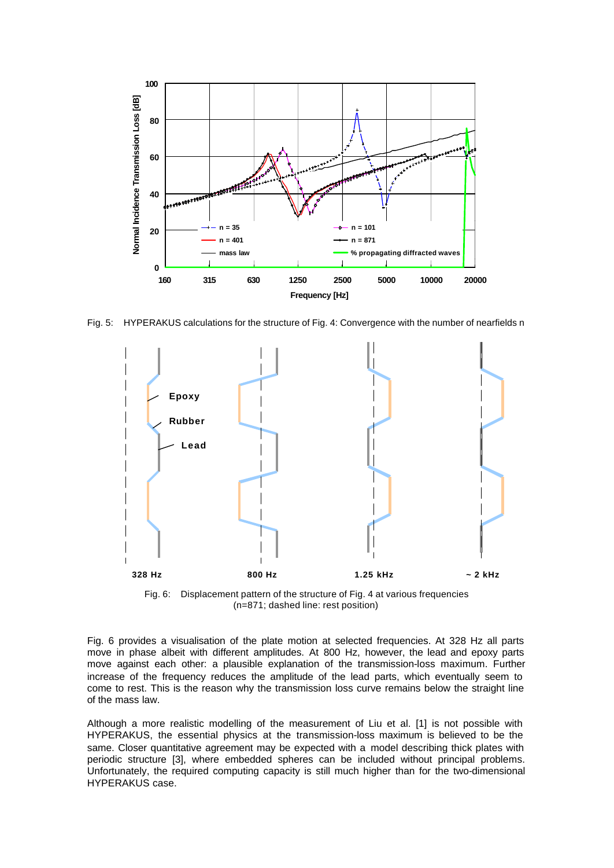

Fig. 5: HYPERAKUS calculations for the structure of Fig. 4: Convergence with the number of nearfields n



Fig. 6: Displacement pattern of the structure of Fig. 4 at various frequencies (n=871; dashed line: rest position)

Fig. 6 provides a visualisation of the plate motion at selected frequencies. At 328 Hz all parts move in phase albeit with different amplitudes. At 800 Hz, however, the lead and epoxy parts move against each other: a plausible explanation of the transmission-loss maximum. Further increase of the frequency reduces the amplitude of the lead parts, which eventually seem to come to rest. This is the reason why the transmission loss curve remains below the straight line of the mass law.

Although a more realistic modelling of the measurement of Liu et al. [1] is not possible with HYPERAKUS, the essential physics at the transmission-loss maximum is believed to be the same. Closer quantitative agreement may be expected with a model describing thick plates with periodic structure [3], where embedded spheres can be included without principal problems. Unfortunately, the required computing capacity is still much higher than for the two-dimensional HYPERAKUS case.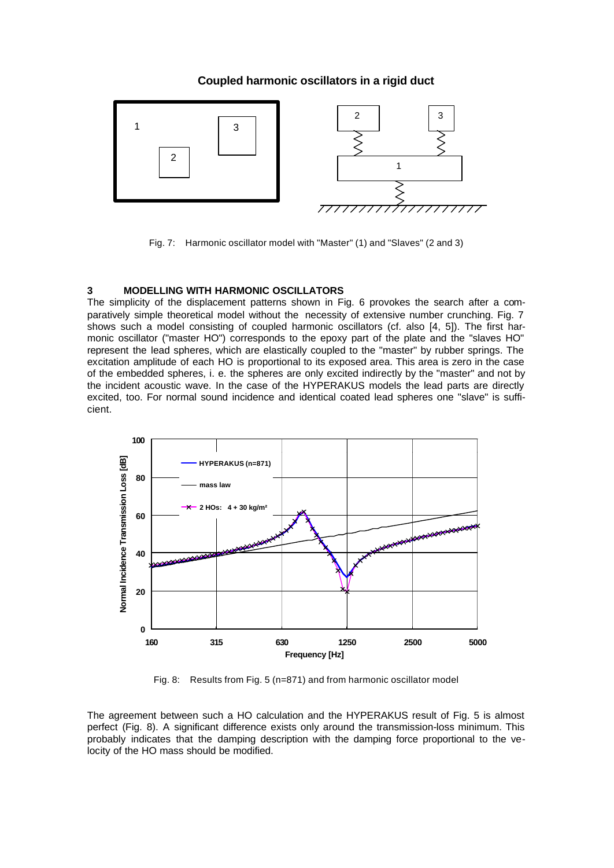# **Coupled harmonic oscillators in a rigid duct**



Fig. 7: Harmonic oscillator model with "Master" (1) and "Slaves" (2 and 3)

## **3 MODELLING WITH HARMONIC OSCILLATORS**

The simplicity of the displacement patterns shown in Fig. 6 provokes the search after a comparatively simple theoretical model without the necessity of extensive number crunching. Fig. 7 shows such a model consisting of coupled harmonic oscillators (cf. also [4, 5]). The first harmonic oscillator ("master HO") corresponds to the epoxy part of the plate and the "slaves HO" represent the lead spheres, which are elastically coupled to the "master" by rubber springs. The excitation amplitude of each HO is proportional to its exposed area. This area is zero in the case of the embedded spheres, i. e. the spheres are only excited indirectly by the "master" and not by the incident acoustic wave. In the case of the HYPERAKUS models the lead parts are directly excited, too. For normal sound incidence and identical coated lead spheres one "slave" is sufficient.



Fig. 8: Results from Fig. 5 (n=871) and from harmonic oscillator model

The agreement between such a HO calculation and the HYPERAKUS result of Fig. 5 is almost perfect (Fig. 8). A significant difference exists only around the transmission-loss minimum. This probably indicates that the damping description with the damping force proportional to the velocity of the HO mass should be modified.